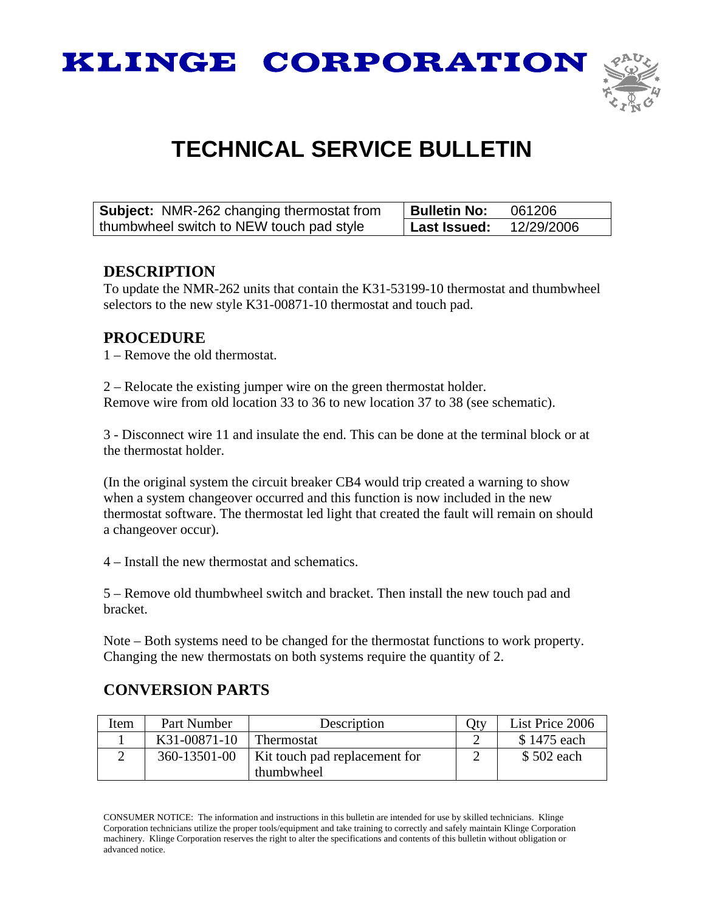



## **TECHNICAL SERVICE BULLETIN**

| <b>Subject:</b> NMR-262 changing thermostat from | Bulletin No: | 061206     |
|--------------------------------------------------|--------------|------------|
| thumbwheel switch to NEW touch pad style         | Last Issued: | 12/29/2006 |

## **DESCRIPTION**

To update the NMR-262 units that contain the K31-53199-10 thermostat and thumbwheel selectors to the new style K31-00871-10 thermostat and touch pad.

## **PROCEDURE**

1 – Remove the old thermostat.

2 – Relocate the existing jumper wire on the green thermostat holder. Remove wire from old location 33 to 36 to new location 37 to 38 (see schematic).

3 - Disconnect wire 11 and insulate the end. This can be done at the terminal block or at the thermostat holder.

(In the original system the circuit breaker CB4 would trip created a warning to show when a system changeover occurred and this function is now included in the new thermostat software. The thermostat led light that created the fault will remain on should a changeover occur).

4 – Install the new thermostat and schematics.

5 – Remove old thumbwheel switch and bracket. Then install the new touch pad and bracket.

Note – Both systems need to be changed for the thermostat functions to work property. Changing the new thermostats on both systems require the quantity of 2.

## **CONVERSION PARTS**

| Item | Part Number  | Description                   | Otv | List Price 2006 |
|------|--------------|-------------------------------|-----|-----------------|
|      | K31-00871-10 | Thermostat                    |     | \$1475 each     |
|      | 360-13501-00 | Kit touch pad replacement for |     | \$502 each      |
|      |              | thumbwheel                    |     |                 |

CONSUMER NOTICE: The information and instructions in this bulletin are intended for use by skilled technicians. Klinge Corporation technicians utilize the proper tools/equipment and take training to correctly and safely maintain Klinge Corporation machinery. Klinge Corporation reserves the right to alter the specifications and contents of this bulletin without obligation or advanced notice.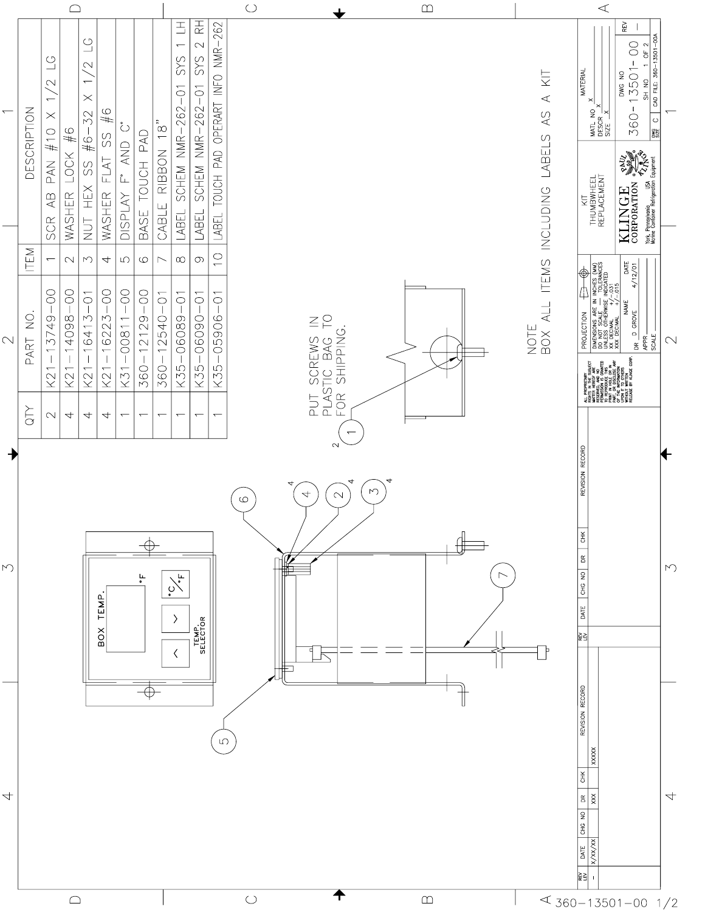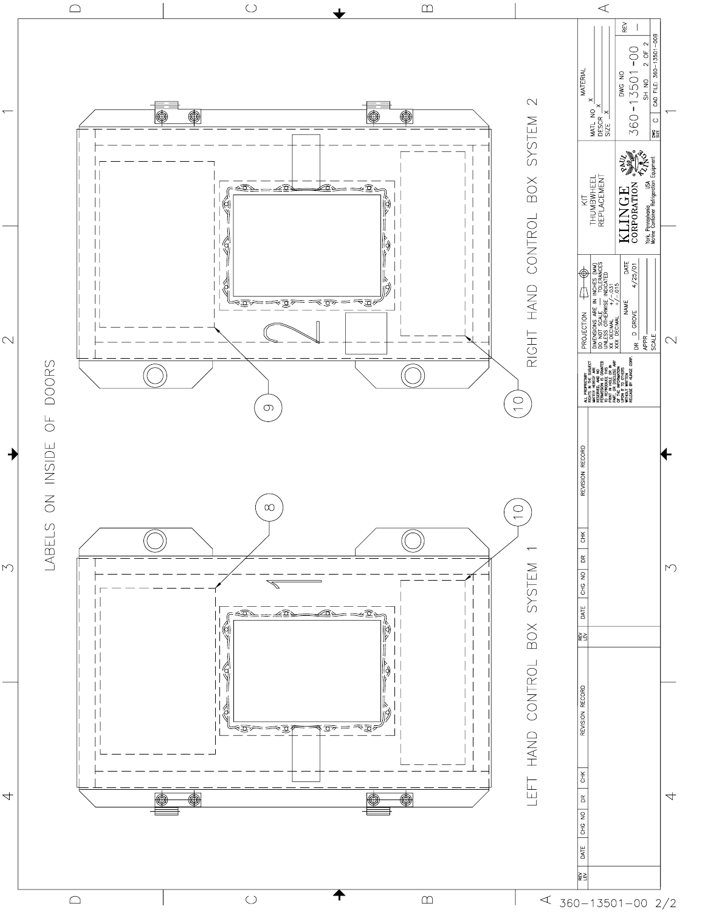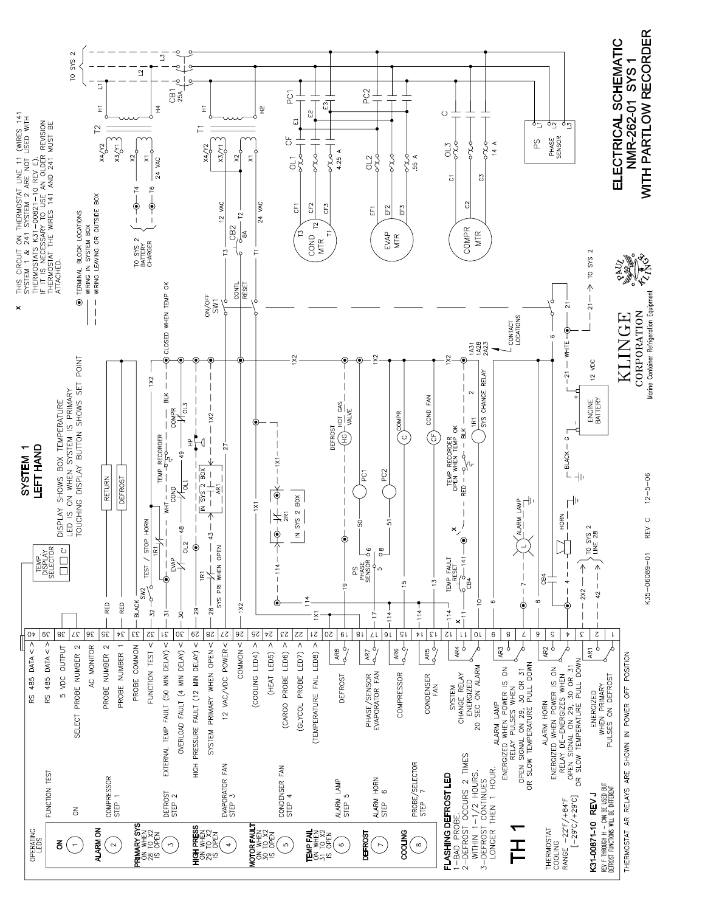